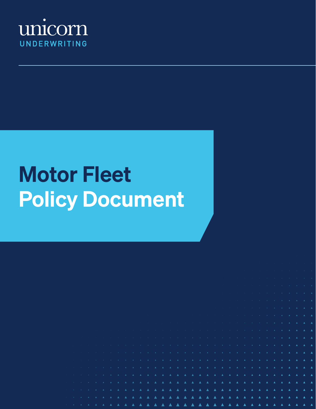

# Motor Fleet Policy Document

|  |  |  |  |  |  |  |  |  |  | A A A A A A CONTRACTOR OF A PROPERTY AND A RESIDENCE OF A RESIDENCE OF A RESIDENCE OF A RESIDENCE OF A RESIDENCE OF A RESIDENCE OF A RESIDENCE OF A RESIDENCE OF A RESIDENCE OF A RESIDENCE OF A RESIDENCE OF A RESIDENCE OF A           |  |  |  |  |  |  |  |
|--|--|--|--|--|--|--|--|--|--|------------------------------------------------------------------------------------------------------------------------------------------------------------------------------------------------------------------------------------------|--|--|--|--|--|--|--|
|  |  |  |  |  |  |  |  |  |  | $\blacktriangle$ . The second contract of the second contract of the second contract of the second contract of the second contract of the second contract of the second contract of the second contract of the second contract of the se |  |  |  |  |  |  |  |
|  |  |  |  |  |  |  |  |  |  |                                                                                                                                                                                                                                          |  |  |  |  |  |  |  |
|  |  |  |  |  |  |  |  |  |  | <u> 1989 - Johann Stein, marwolaethau a bhaile ann an Amhair Aonaichte ann an Aonaichte ann an Aonaichte ann an A</u>                                                                                                                    |  |  |  |  |  |  |  |
|  |  |  |  |  |  |  |  |  |  |                                                                                                                                                                                                                                          |  |  |  |  |  |  |  |
|  |  |  |  |  |  |  |  |  |  |                                                                                                                                                                                                                                          |  |  |  |  |  |  |  |
|  |  |  |  |  |  |  |  |  |  |                                                                                                                                                                                                                                          |  |  |  |  |  |  |  |
|  |  |  |  |  |  |  |  |  |  |                                                                                                                                                                                                                                          |  |  |  |  |  |  |  |
|  |  |  |  |  |  |  |  |  |  |                                                                                                                                                                                                                                          |  |  |  |  |  |  |  |
|  |  |  |  |  |  |  |  |  |  |                                                                                                                                                                                                                                          |  |  |  |  |  |  |  |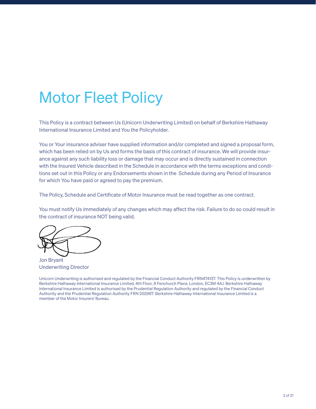## Motor Fleet Policy

This Policy is a contract between Us (Unicorn Underwriting Limited) on behalf of Berkshire Hathaway International Insurance Limited and You the Policyholder.

You or Your insurance adviser have supplied information and/or completed and signed a proposal form, which has been relied on by Us and forms the basis of this contract of insurance. We will provide insurance against any such liability loss or damage that may occur and is directly sustained in connection with the Insured Vehicle described in the Schedule in accordance with the terms exceptions and conditions set out in this Policy or any Endorsements shown in the Schedule during any Period of Insurance for which You have paid or agreed to pay the premium.

The Policy, Schedule and Certificate of Motor Insurance must be read together as one contract.

You must notify Us immediately of any changes which may affect the risk. Failure to do so could result in the contract of insurance NOT being valid.

Jon Bryant Underwriting Director

Unicorn Underwriting is authorised and regulated by the Financial Conduct Authority FRN474137. This Policy is underwritten by Berkshire Hathaway International Insurance Limited, 4th Floor, 8 Fenchurch Place, London, EC3M 4AJ. Berkshire Hathaway International Insurance Limited is authorised by the Prudential Regulation Authority and regulated by the Financial Conduct Authority and the Prudential Regulation Authority FRN 202967. Berkshire Hathaway International Insurance Limited is a member of the Motor Insurers' Bureau.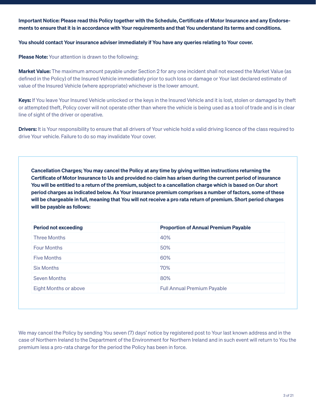Important Notice: Please read this Policy together with the Schedule, Certificate of Motor Insurance and any Endorsements to ensure that it is in accordance with Your requirements and that You understand its terms and conditions.

You should contact Your insurance adviser immediately if You have any queries relating to Your cover.

Please Note: Your attention is drawn to the following;

Market Value: The maximum amount payable under Section 2 for any one incident shall not exceed the Market Value (as defined in the Policy) of the Insured Vehicle immediately prior to such loss or damage or Your last declared estimate of value of the Insured Vehicle (where appropriate) whichever is the lower amount.

Keys: If You leave Your Insured Vehicle unlocked or the keys in the Insured Vehicle and it is lost, stolen or damaged by theft or attempted theft, Policy cover will not operate other than where the vehicle is being used as a tool of trade and is in clear line of sight of the driver or operative.

**Drivers:** It is Your responsibility to ensure that all drivers of Your vehicle hold a valid driving licence of the class required to drive Your vehicle. Failure to do so may invalidate Your cover.

Cancellation Charges; You may cancel the Policy at any time by giving written instructions returning the Certificate of Motor Insurance to Us and provided no claim has arisen during the current period of insurance You will be entitled to a return of the premium, subject to a cancellation charge which is based on Our short period charges as indicated below. As Your insurance premium comprises a number of factors, some of these will be chargeable in full, meaning that You will not receive a pro rata return of premium. Short period charges will be payable as follows:

| <b>Period not exceeding</b>  | <b>Proportion of Annual Premium Payable</b> |
|------------------------------|---------------------------------------------|
| <b>Three Months</b>          | 40%                                         |
| <b>Four Months</b>           | 50%                                         |
| <b>Five Months</b>           | 60%                                         |
| <b>Six Months</b>            | 70%                                         |
| <b>Seven Months</b>          | 80%                                         |
| <b>Eight Months or above</b> | <b>Full Annual Premium Payable</b>          |

We may cancel the Policy by sending You seven (7) days' notice by registered post to Your last known address and in the case of Northern Ireland to the Department of the Environment for Northern Ireland and in such event will return to You the premium less a pro-rata charge for the period the Policy has been in force.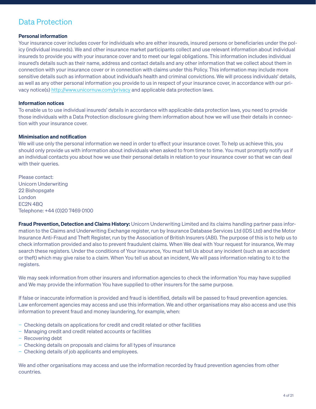### Data Protection

### Personal information

Your insurance cover includes cover for individuals who are either insureds, insured persons or beneficiaries under the policy (individual insureds). We and other insurance market participants collect and use relevant information about individual insureds to provide you with your insurance cover and to meet our legal obligations. This information includes individual insured's details such as their name, address and contact details and any other information that we collect about them in connection with your insurance cover or in connection with claims under this Policy. This information may include more sensitive details such as information about individual's health and criminal convictions. We will process individuals' details, as well as any other personal information you provide to us in respect of your insurance cover, in accordance with our privacy notice(s) http://www.unicornuw.com/privacy and applicable data protection laws.

### Information notices

To enable us to use individual insureds' details in accordance with applicable data protection laws, you need to provide those individuals with a Data Protection disclosure giving them information about how we will use their details in connection with your insurance cover.

### Minimisation and notification

We will use only the personal information we need in order to effect your insurance cover. To help us achieve this, you should only provide us with information about individuals when asked to from time to time. You must promptly notify us if an individual contacts you about how we use their personal details in relation to your insurance cover so that we can deal with their queries.

Please contact: Unicorn Underwriting 22 Bishopsgate London EC2N 4BQ Telephone: +44 (0)20 7469 0100

Fraud Prevention, Detection and Claims History: Unicorn Underwriting Limited and its claims handling partner pass information to the Claims and Underwriting Exchange register, run by Insurance Database Services Ltd (IDS Ltd) and the Motor Insurance Anti-Fraud and Theft Register, run by the Association of British Insurers (ABI). The purpose of this is to help us to check information provided and also to prevent fraudulent claims. When We deal with Your request for insurance, We may search these registers. Under the conditions of Your insurance, You must tell Us about any incident (such as an accident or theft) which may give raise to a claim. When You tell us about an incident, We will pass information relating to it to the registers.

We may seek information from other insurers and information agencies to check the information You may have supplied and We may provide the information You have supplied to other insurers for the same purpose.

If false or inaccurate information is provided and fraud is identified, details will be passed to fraud prevention agencies. Law enforcement agencies may access and use this information. We and other organisations may also access and use this information to prevent fraud and money laundering, for example, when:

- − Checking details on applications for credit and credit related or other facilities
- − Managing credit and credit related accounts or facilities
- − Recovering debt
- − Checking details on proposals and claims for all types of insurance
- − Checking details of job applicants and employees.

We and other organisations may access and use the information recorded by fraud prevention agencies from other countries.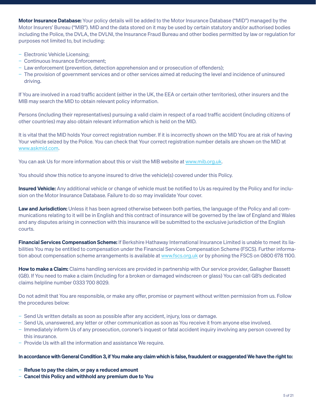Motor Insurance Database: Your policy details will be added to the Motor Insurance Database ("MID") managed by the Motor Insurers' Bureau ("MIB"). MID and the data stored on it may be used by certain statutory and/or authorised bodies including the Police, the DVLA, the DVLNI, the Insurance Fraud Bureau and other bodies permitted by law or regulation for purposes not limited to, but including:

- − Electronic Vehicle Licensing;
- − Continuous Insurance Enforcement;
- − Law enforcement (prevention, detection apprehension and or prosecution of offenders);
- − The provision of government services and or other services aimed at reducing the level and incidence of uninsured driving.

If You are involved in a road traffic accident (either in the UK, the EEA or certain other territories), other insurers and the MIB may search the MID to obtain relevant policy information.

Persons (including their representatives) pursuing a valid claim in respect of a road traffic accident (including citizens of other countries) may also obtain relevant information which is held on the MID.

It is vital that the MID holds Your correct registration number. If it is incorrectly shown on the MID You are at risk of having Your vehicle seized by the Police. You can check that Your correct registration number details are shown on the MID at www.askmid.com.

You can ask Us for more information about this or visit the MIB website at www.mib.org.uk.

You should show this notice to anyone insured to drive the vehicle(s) covered under this Policy.

Insured Vehicle: Any additional vehicle or change of vehicle must be notified to Us as required by the Policy and for inclusion on the Motor Insurance Database. Failure to do so may invalidate Your cover.

Law and Jurisdiction: Unless it has been agreed otherwise between both parties, the language of the Policy and all communications relating to it will be in English and this contract of insurance will be governed by the law of England and Wales and any disputes arising in connection with this insurance will be submitted to the exclusive jurisdiction of the English courts.

**Financial Services Compensation Scheme:** If Berkshire Hathaway International Insurance Limited is unable to meet its liabilities You may be entitled to compensation under the Financial Services Compensation Scheme (FSCS). Further information about compensation scheme arrangements is available at www.fscs.org.uk or by phoning the FSCS on 0800 678 1100.

How to make a Claim: Claims handling services are provided in partnership with Our service provider, Gallagher Bassett (GB). If You need to make a claim (including for a broken or damaged windscreen or glass) You can call GB's dedicated claims helpline number 0333 700 8029.

Do not admit that You are responsible, or make any offer, promise or payment without written permission from us. Follow the procedures below:

- − Send Us written details as soon as possible after any accident, injury, loss or damage.
- − Send Us, unanswered, any letter or other communication as soon as You receive it from anyone else involved.
- − Immediately inform Us of any prosecution, coroner's inquest or fatal accident inquiry involving any person covered by this insurance.
- − Provide Us with all the information and assistance We require.

#### In accordance with General Condition 3, if You make any claim which is false, fraudulent or exaggerated We have the right to:

- Refuse to pay the claim, or pay a reduced amount
- − Cancel this Policy and withhold any premium due to You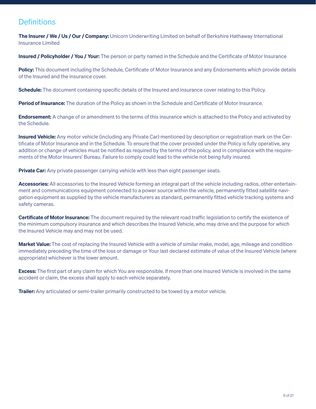### **Definitions**

The Insurer / We / Us / Our / Company: Unicorn Underwriting Limited on behalf of Berkshire Hathaway International Insurance Limited

Insured / Policyholder / You / Your: The person or party named in the Schedule and the Certificate of Motor Insurance

Policy: This document including the Schedule, Certificate of Motor Insurance and any Endorsements which provide details of the Insured and the insurance cover.

**Schedule:** The document containing specific details of the Insured and insurance cover relating to this Policy.

Period of Insurance: The duration of the Policy as shown in the Schedule and Certificate of Motor Insurance.

**Endorsement:** A change of or amendment to the terms of this insurance which is attached to the Policy and activated by the Schedule.

**Insured Vehicle:** Any motor vehicle (including any Private Car) mentioned by description or registration mark on the Certificate of Motor Insurance and in the Schedule. To ensure that the cover provided under the Policy is fully operative, any addition or change of vehicles must be notified as required by the terms of the policy, and in compliance with the requirements of the Motor Insurers' Bureau. Failure to comply could lead to the vehicle not being fully insured.

Private Car: Any private passenger carrying vehicle with less than eight passenger seats.

Accessories: All accessories to the Insured Vehicle forming an integral part of the vehicle including radios, other entertainment and communications equipment connected to a power source within the vehicle, permanently fitted satellite navigation equipment as supplied by the vehicle manufacturers as standard, permanently fitted vehicle tracking systems and safety cameras.

Certificate of Motor Insurance: The document required by the relevant road traffic legislation to certify the existence of the minimum compulsory insurance and which describes the Insured Vehicle, who may drive and the purpose for which the Insured Vehicle may and may not be used.

Market Value: The cost of replacing the Insured Vehicle with a vehicle of similar make, model, age, mileage and condition immediately preceding the time of the loss or damage or Your last declared estimate of value of the Insured Vehicle (where appropriate) whichever is the lower amount.

**Excess:** The first part of any claim for which You are responsible. If more than one Insured Vehicle is involved in the same accident or claim, the excess shall apply to each vehicle separately.

**Trailer:** Any articulated or semi-trailer primarily constructed to be towed by a motor vehicle.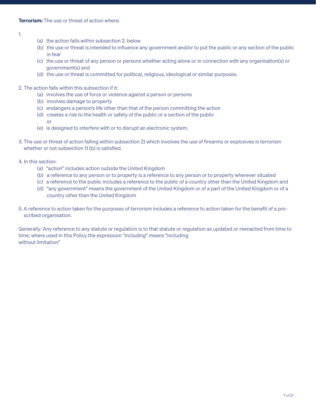### 1.

- (a) the action falls within subsection 2. below
- (b) the use or threat is intended to influence any government and/or to put the public or any section of the public in fear
- (c) the use or threat of any person or persons whether acting alone or in connection with any organisation(s) or government(s) and
- (d) the use or threat is committed for political, religious, ideological or similar purposes.
- 2. The action falls within this subsection if it:
	- (a) involves the use of force or violence against a person or persons
	- (b) involves damage to property
	- (c) endangers a person's life other than that of the person committing the action
	- (d) creates a risk to the health or safety of the public or a section of the public or
	- (e) is designed to interfere with or to disrupt an electronic system.
- 3. The use or threat of action falling within subsection 2) which involves the use of firearms or explosives is terrorism whether or not subsection 1) (b) is satisfied.
- 4. In this section:
	- (a) "action" includes action outside the United Kingdom
	- (b) a reference to any person or to property is a reference to any person or to property wherever situated
	- (c) a reference to the public includes a reference to the public of a country other than the United Kingdom and
	- (d) "any government" means the government of the United Kingdom or of a part of the United Kingdom or of a country other than the United Kingdom
- 5. A reference to action taken for the purposes of terrorism includes a reference to action taken for the benefit of a proscribed organisation.

Generally: Any reference to any statute or regulation is to that statute or regulation as updated or reenacted from time to time; where used in this Policy the expression "including" means "including without limitation"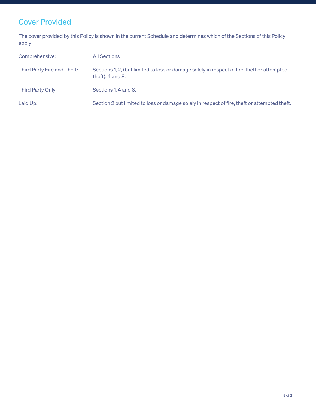### Cover Provided

The cover provided by this Policy is shown in the current Schedule and determines which of the Sections of this Policy apply

| Comprehensive:              | <b>All Sections</b>                                                                                                  |
|-----------------------------|----------------------------------------------------------------------------------------------------------------------|
| Third Party Fire and Theft: | Sections 1, 2, (but limited to loss or damage solely in respect of fire, theft or attempted<br>theft), $4$ and $8$ . |
| Third Party Only:           | Sections 1, 4 and 8.                                                                                                 |
| Laid Up:                    | Section 2 but limited to loss or damage solely in respect of fire, theft or attempted theft.                         |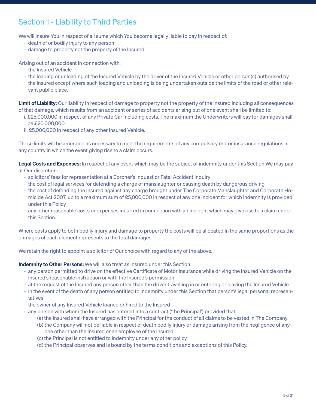### Section 1 - Liability to Third Parties

We will insure You in respect of all sums which You become legally liable to pay in respect of:

- death of or bodily injury to any person
- damage to property not the property of the Insured

Arising out of an accident in connection with:

- the Insured Vehicle
- the loading or unloading of the Insured Vehicle by the driver of the Insured Vehicle or other person(s) authorised by the Insured except where such loading and unloading is being undertaken outside the limits of the road or other relevant public place.

Limit of Liability: Our liability in respect of damage to property not the property of the Insured including all consequences of that damage, which results from an accident or series of accidents arising out of one event shall be limited to:

- i. £25,000,000 in respect of any Private Car including costs. The maximum the Underwriters will pay for damages shall be £20,000,000
- ii. £5,000,000 in respect of any other Insured Vehicle.

These limits will be amended as necessary to meet the requirements of any compulsory motor insurance regulations in any country in which the event giving rise to a claim occurs.

Legal Costs and Expenses: In respect of any event which may be the subject of indemnity under this Section We may pay at Our discretion:

- solicitors' fees for representation at a Coroner's Inquest or Fatal Accident inquiry
- the cost of legal services for defending a charge of manslaughter or causing death by dangerous driving
- the cost of defending the Insured against any charge brought under The Corporate Manslaughter and Corporate Homicide Act 2007, up to a maximum sum of £5,000,000 in respect of any one incident for which indemnity is provided under this Policy
- any other reasonable costs or expenses incurred in connection with an incident which may give rise to a claim under this Section.

Where costs apply to both bodily injury and damage to property the costs will be allocated in the same proportions as the damages of each element represents to the total damages.

We retain the right to appoint a solicitor of Our choice with regard to any of the above.

Indemnity to Other Persons: We will also treat as insured under this Section:

- any person permitted to drive on the effective Certificate of Motor Insurance while driving the Insured Vehicle on the Insured's reasonable instruction or with the Insured's permission
- at the request of the Insured any person other than the driver travelling in or entering or leaving the Insured Vehicle
- in the event of the death of any person entitled to indemnity under this Section that person's legal personal representatives
- the owner of any Insured Vehicle loaned or hired to the Insured
- any person with whom the Insured has entered into a contract ('the Principal') provided that:
	- (a) the Insured shall have arranged with the Principal for the conduct of all claims to be vested in The Company
	- (b) the Company will not be liable in respect of death bodily injury or damage arising from the negligence of anyone other than the Insured or an employee of the Insured
	- (c) the Principal is not entitled to indemnity under any other policy
	- (d) the Principal observes and is bound by the terms conditions and exceptions of this Policy.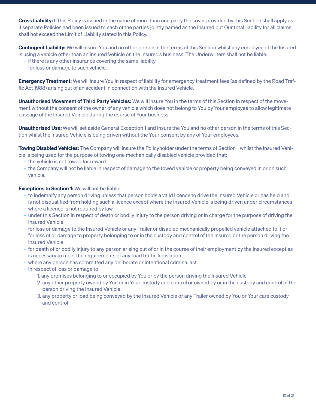Cross Liability: If this Policy is issued in the name of more than one party the cover provided by this Section shall apply as if separate Policies had been issued to each of the parties jointly named as the Insured but Our total liability for all claims shall not exceed the Limit of Liability stated in this Policy.

Contingent Liability: We will insure You and no other person in the terms of this Section whilst any employee of the Insured is using a vehicle other than an Insured Vehicle on the Insured's business. The Underwriters shall not be liable:

- if there is any other insurance covering the same liability
- for loss or damage to such vehicle.

**Emergency Treatment:** We will insure You in respect of liability for emergency treatment fees (as defined by the Road Traffic Act 1988) arising out of an accident in connection with the Insured Vehicle.

Unauthorised Movement of Third Party Vehicles: We will insure You in the terms of this Section in respect of the movement without the consent of the owner of any vehicle which does not belong to You by Your employee to allow legitimate passage of the Insured Vehicle during the course of Your business.

Unauthorised Use: We will set aside General Exception 1 and insure the You and no other person in the terms of this Section whilst the Insured Vehicle is being driven without the Your consent by any of Your employees.

**Towing Disabled Vehicles:** The Company will insure the Policyholder under the terms of Section 1 whilst the Insured Vehicle is being used for the purpose of towing one mechanically disabled vehicle provided that:

- the vehicle is not towed for reward
- the Company will not be liable in respect of damage to the towed vehicle or property being conveyed in or on such vehicle.

### Exceptions to Section 1: We will not be liable:

- to indemnify any person driving unless that person holds a valid licence to drive the Insured Vehicle or has held and is not disqualified from holding such a licence except where the Insured Vehicle is being driven under circumstances where a licence is not required by law
- under this Section in respect of death or bodily injury to the person driving or in charge for the purpose of driving the Insured Vehicle
- for loss or damage to the Insured Vehicle or any Trailer or disabled mechanically propelled vehicle attached to it or for loss of or damage to property belonging to or in the custody and control of the Insured or the person driving the Insured Vehicle
- for death of or bodily injury to any person arising out of or in the course of their employment by the Insured except as is necessary to meet the requirements of any road traffic legislation
- where any person has committed any deliberate or intentional criminal act
- In respect of loss or damage to
	- 1. any premises belonging to or occupied by You or by the person driving the Insured Vehicle
	- 2. any other property owned by You or in Your custody and control or owned by or in the custody and control of the person driving the Insured Vehicle
	- 3. any property or load being conveyed by the Insured Vehicle or any Trailer owned by You or Your care custody and control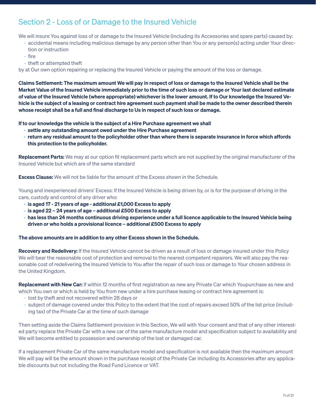### Section 2 - Loss of or Damage to the Insured Vehicle

We will insure You against loss of or damage to the Insured Vehicle (including its Accessories and spare parts) caused by:

- accidental means including malicious damage by any person other than You or any person(s) acting under Your direction or instruction
- 
- fire
- theft or attempted theft

by at Our own option repairing or replacing the Insured Vehicle or paying the amount of the loss or damage.

Claims Settlement: The maximum amount We will pay in respect of loss or damage to the Insured Vehicle shall be the Market Value of the Insured Vehicle immediately prior to the time of such loss or damage or Your last declared estimate of value of the Insured Vehicle (where appropriate) whichever is the lower amount. If to Our knowledge the Insured Vehicle is the subject of a leasing or contract hire agreement such payment shall be made to the owner described therein whose receipt shall be a full and final discharge to Us in respect of such loss or damage.

If to our knowledge the vehicle is the subject of a Hire Purchase agreement we shall

- settle any outstanding amount owed under the Hire Purchase agreement
- return any residual amount to the policyholder other than where there is separate insurance in force which affords this protection to the policyholder.

Replacement Parts: We may at our option fit replacement parts which are not supplied by the original manufacturer of the Insured Vehicle but which are of the same standard

**Excess Clause:** We will not be liable for the amount of the Excess shown in the Schedule.

Young and inexperienced drivers' Excess: If the Insured Vehicle is being driven by, or is for the purpose of driving in the care, custody and control of any driver who:

- is aged 17 21 years of age additional £1,000 Excess to apply
- is aged 22 24 years of age additional £500 Excess to apply
- has less than 24 months continuous driving experience under a full licence applicable to the Insured Vehicle being driven or who holds a provisional licence – additional £500 Excess to apply

#### The above amounts are in addition to any other Excess shown in the Schedule.

Recovery and Redelivery: If the Insured Vehicle cannot be driven as a result of loss or damage insured under this Policy We will bear the reasonable cost of protection and removal to the nearest competent repairers. We will also pay the reasonable cost of redelivering the Insured Vehicle to You after the repair of such loss or damage to Your chosen address in the United Kingdom.

**Replacement with New Car:** If within 12 months of first registration as new any Private Car which Youpurchase as new and which You own or which is held by You from new under a hire purchase leasing or contract hire agreement is:

- lost by theft and not recovered within 28 days or
- subject of damage covered under this Policy to the extent that the cost of repairs exceed 50% of the list price (including tax) of the Private Car at the time of such damage

Then setting aside the Claims Settlement provision in this Section, We will with Your consent and that of any other interested party replace the Private Car with a new car of the same manufacture model and specification subject to availability and We will become entitled to possession and ownership of the lost or damaged car.

If a replacement Private Car of the same manufacture model and specification is not available then the maximum amount We will pay will be the amount shown in the purchase receipt of the Private Car including its Accessories after any applicable discounts but not including the Road Fund Licence or VAT.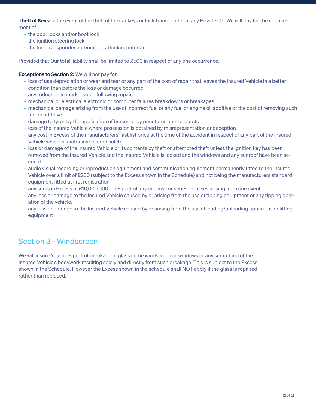Theft of Keys: In the event of the theft of the car keys or lock transponder of any Private Car We will pay for the replacement of:

- the door locks and/or boot lock
- the ignition steering lock
- the lock transponder and/or central locking interface

Provided that Our total liability shall be limited to £500 in respect of any one occurrence.

### Exceptions to Section 2: We will not pay for:

- loss of use depreciation or wear and tear or any part of the cost of repair that leaves the Insured Vehicle in a better condition than before the loss or damage occurred
- any reduction in market value following repair
- mechanical or electrical electronic or computer failures breakdowns or breakages
- mechanical damage arising from the use of incorrect fuel or any fuel or engine oil additive or the cost of removing such fuel or additive
- damage to tyres by the application of brakes or by punctures cuts or bursts
- loss of the Insured Vehicle where possession is obtained by misrepresentation or deception
- any cost in Excess of the manufacturers' last list price at the time of the accident in respect of any part of the Insured Vehicle which is unobtainable or obsolete
- loss or damage of the Insured Vehicle or its contents by theft or attempted theft unless the ignition key has been removed from the Insured Vehicle and the Insured Vehicle is locked and the windows and any sunroof have been secured
- audio visual recording or reproduction equipment and communication equipment permanently fitted to the Insured Vehicle over a limit of £250 (subject to the Excess shown in the Schedule) and not being the manufacturers standard equipment fitted at first registration
- any sums in Excess of £10,000,000 in respect of any one loss or series of losses arising from one event.
- any loss or damage to the Insured Vehicle caused by or arising from the use of tipping equipment or any tipping operation of the vehicle.
- any loss or damage to the Insured Vehicle caused by or arising from the use of loading/unloading apparatus or lifting equipment

### Section 3 - Windscreen

We will insure You in respect of breakage of glass in the windscreen or windows or any scratching of the Insured Vehicle's bodywork resulting solely and directly from such breakage. This is subject to the Excess shown in the Schedule. However the Excess shown in the schedule shall NOT apply if the glass is repaired rather than replaced.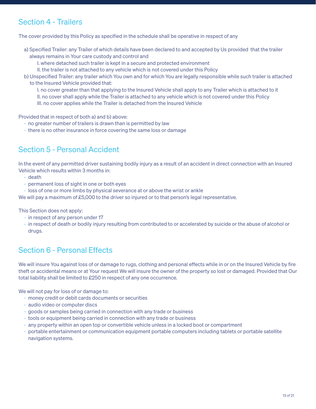### Section 4 - Trailers

The cover provided by this Policy as specified in the schedule shall be operative in respect of any

- a) Specified Trailer: any Trailer of which details have been declared to and accepted by Us provided that the trailer always remains in Your care custody and control and
	- I. where detached such trailer is kept in a secure and protected environment
	- II. the trailer is not attached to any vehicle which is not covered under this Policy
- b) Unspecified Trailer: any trailer which You own and for which You are legally responsible while such trailer is attached to the Insured Vehicle provided that:
	- I. no cover greater than that applying to the Insured Vehicle shall apply to any Trailer which is attached to it
	- II. no cover shall apply while the Trailer is attached to any vehicle which is not covered under this Policy
	- III. no cover applies while the Trailer is detached from the Insured Vehicle

Provided that in respect of both a) and b) above:

- no greater number of trailers is drawn than is permitted by law
- there is no other insurance in force covering the same loss or damage

### Section 5 - Personal Accident

In the event of any permitted driver sustaining bodily injury as a result of an accident in direct connection with an Insured Vehicle which results within 3 months in:

- death
- permanent loss of sight in one or both eyes
- loss of one or more limbs by physical severance at or above the wrist or ankle

We will pay a maximum of £5,000 to the driver so injured or to that person's legal representative.

This Section does not apply:

- in respect of any person under 17
- in respect of death or bodily injury resulting from contributed to or accelerated by suicide or the abuse of alcohol or drugs.

### Section 6 - Personal Effects

We will insure You against loss of or damage to rugs, clothing and personal effects while in or on the Insured Vehicle by fire theft or accidental means or at Your request We will insure the owner of the property so lost or damaged. Provided that Our total liability shall be limited to £250 in respect of any one occurrence.

We will not pay for loss of or damage to:

- money credit or debit cards documents or securities
- audio video or computer discs
- goods or samples being carried in connection with any trade or business
- tools or equipment being carried in connection with any trade or business
- any property within an open top or convertible vehicle unless in a locked boot or compartment
- portable entertainment or communication equipment portable computers including tablets or portable satellite navigation systems.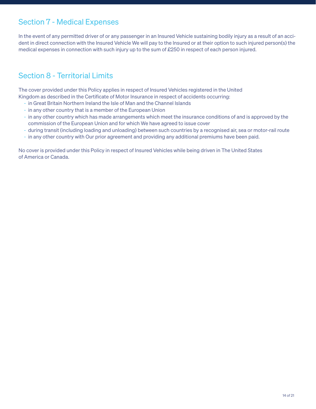### Section 7 - Medical Expenses

In the event of any permitted driver of or any passenger in an Insured Vehicle sustaining bodily injury as a result of an accident in direct connection with the Insured Vehicle We will pay to the Insured or at their option to such injured person(s) the medical expenses in connection with such injury up to the sum of £250 in respect of each person injured.

### Section 8 - Territorial Limits

The cover provided under this Policy applies in respect of Insured Vehicles registered in the United Kingdom as described in the Certificate of Motor Insurance in respect of accidents occurring:

- in Great Britain Northern Ireland the Isle of Man and the Channel Islands
- in any other country that is a member of the European Union
- in any other country which has made arrangements which meet the insurance conditions of and is approved by the commission of the European Union and for which We have agreed to issue cover
- during transit (including loading and unloading) between such countries by a recognised air, sea or motor-rail route
- in any other country with Our prior agreement and providing any additional premiums have been paid.

No cover is provided under this Policy in respect of Insured Vehicles while being driven in The United States of America or Canada.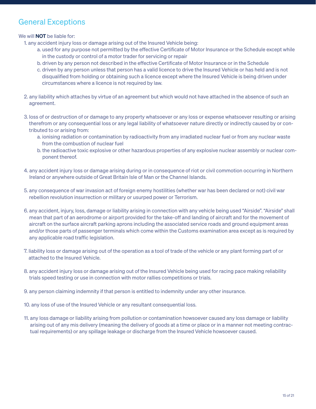### General Exceptions

We will **NOT** be liable for:

- 1. any accident injury loss or damage arising out of the Insured Vehicle being:
	- a. used for any purpose not permitted by the effective Certificate of Motor Insurance or the Schedule except while in the custody or control of a motor trader for servicing or repair
	- b. driven by any person not described in the effective Certificate of Motor Insurance or in the Schedule
	- c. driven by any person unless that person has a valid licence to drive the Insured Vehicle or has held and is not disqualified from holding or obtaining such a licence except where the Insured Vehicle is being driven under circumstances where a licence is not required by law.
- 2. any liability which attaches by virtue of an agreement but which would not have attached in the absence of such an agreement.
- 3. loss of or destruction of or damage to any property whatsoever or any loss or expense whatsoever resulting or arising therefrom or any consequential loss or any legal liability of whatsoever nature directly or indirectly caused by or contributed to or arising from:
	- a. ionising radiation or contamination by radioactivity from any irradiated nuclear fuel or from any nuclear waste from the combustion of nuclear fuel
	- b. the radioactive toxic explosive or other hazardous properties of any explosive nuclear assembly or nuclear component thereof.
- 4. any accident injury loss or damage arising during or in consequence of riot or civil commotion occurring in Northern Ireland or anywhere outside of Great Britain Isle of Man or the Channel Islands.
- 5. any consequence of war invasion act of foreign enemy hostilities (whether war has been declared or not) civil war rebellion revolution insurrection or military or usurped power or Terrorism.
- 6. any accident, injury, loss, damage or liability arising in connection with any vehicle being used "Airside". "Airside" shall mean that part of an aerodrome or airport provided for the take-off and landing of aircraft and for the movement of aircraft on the surface aircraft parking aprons including the associated service roads and ground equipment areas and/or those parts of passenger terminals which come within the Customs examination area except as is required by any applicable road traffic legislation.
- 7. liability loss or damage arising out of the operation as a tool of trade of the vehicle or any plant forming part of or attached to the Insured Vehicle.
- 8. any accident injury loss or damage arising out of the Insured Vehicle being used for racing pace making reliability trials speed testing or use in connection with motor rallies competitions or trials.
- 9. any person claiming indemnity if that person is entitled to indemnity under any other insurance.
- 10. any loss of use of the Insured Vehicle or any resultant consequential loss.
- 11. any loss damage or liability arising from pollution or contamination howsoever caused any loss damage or liability arising out of any mis delivery (meaning the delivery of goods at a time or place or in a manner not meeting contractual requirements) or any spillage leakage or discharge from the Insured Vehicle howsoever caused.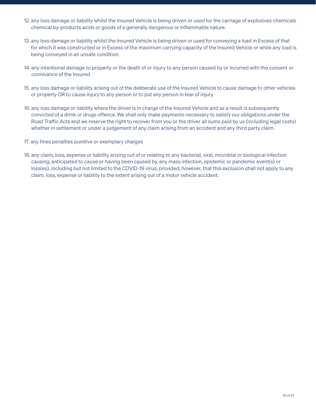- 12. any loss damage or liability whilst the Insured Vehicle is being driven or used for the carriage of explosives chemicals chemical by-products acids or goods of a generally dangerous or inflammable nature.
- 13. any loss damage or liability whilst the Insured Vehicle is being driven or used for conveying a load in Excess of that for which it was constructed or in Excess of the maximum carrying capacity of the Insured Vehicle or while any load is being conveyed in an unsafe condition.
- 14. any intentional damage to property or the death of or injury to any person caused by or incurred with the consent or connivance of the Insured
- 15. any loss damage or liability arising out of the deliberate use of the Insured Vehicle to cause damage to other vehicles or property OR to cause injury to any person or to put any person in fear of injury
- 16. any loss damage or liability where the driver is in charge of the Insured Vehicle and as a result is subsequently convicted of a drink or drugs offence. We shall only make payments necessary to satisfy our obligations under the Road Traffic Acts and we reserve the right to recover from you or the driver all sums paid by us (including legal costs) whether in settlement or under a judgement of any claim arising from an accident and any third party claim.
- 17. any fines penalties punitive or exemplary charges
- 18. any claim, loss, expense or liability arising out of or relating to any bacterial, viral, microbial or biological infection causing, anticipated to cause or having been caused by, any mass infection, epidemic or pandemic event(s) or loss(es), including but not limited to the COVID-19 virus; provided, however, that this exclusion shall not apply to any claim, loss, expense or liability to the extent arising out of a motor vehicle accident.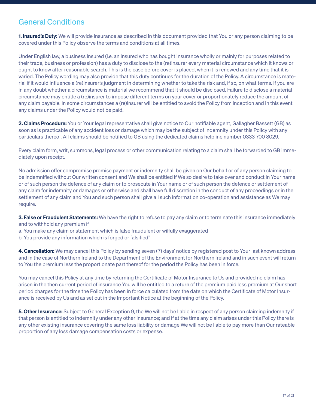### General Conditions

**1. Insured's Duty:** We will provide insurance as described in this document provided that You or any person claiming to be covered under this Policy observe the terms and conditions at all times.

Under English law, a business insured (i.e. an insured who has bought insurance wholly or mainly for purposes related to their trade, business or profession) has a duty to disclose to the (re)insurer every material circumstance which it knows or ought to know after reasonable search. This is the case before cover is placed, when it is renewed and any time that it is varied. The Policy wording may also provide that this duty continues for the duration of the Policy. A circumstance is material if it would influence a (re)insurer's judgment in determining whether to take the risk and, if so, on what terms. If you are in any doubt whether a circumstance is material we recommend that it should be disclosed. Failure to disclose a material circumstance may entitle a (re)insurer to impose different terms on your cover or proportionately reduce the amount of any claim payable. In some circumstances a (re)insurer will be entitled to avoid the Policy from inception and in this event any claims under the Policy would not be paid.

2. Claims Procedure: You or Your legal representative shall give notice to Our notifiable agent, Gallagher Bassett (GB) as soon as is practicable of any accident loss or damage which may be the subject of indemnity under this Policy with any particulars thereof. All claims should be notified to GB using the dedicated claims helpline number 0333 700 8029.

Every claim form, writ, summons, legal process or other communication relating to a claim shall be forwarded to GB immediately upon receipt.

No admission offer compromise promise payment or indemnity shall be given on Our behalf or of any person claiming to be indemnified without Our written consent and We shall be entitled if We so desire to take over and conduct in Your name or of such person the defence of any claim or to prosecute in Your name or of such person the defence or settlement of any claim for indemnity or damages or otherwise and shall have full discretion in the conduct of any proceedings or in the settlement of any claim and You and such person shall give all such information co-operation and assistance as We may require.

3. False or Fraudulent Statements: We have the right to refuse to pay any claim or to terminate this insurance immediately and to withhold any premium if

- a. You make any claim or statement which is false fraudulent or wilfully exaggerated
- b. You provide any information which is forged or falsified"

4. Cancellation: We may cancel this Policy by sending seven (7) days' notice by registered post to Your last known address and in the case of Northern Ireland to the Department of the Environment for Northern Ireland and in such event will return to You the premium less the proportionate part thereof for the period the Policy has been in force.

You may cancel this Policy at any time by returning the Certificate of Motor Insurance to Us and provided no claim has arisen in the then current period of insurance You will be entitled to a return of the premium paid less premium at Our short period charges for the time the Policy has been in force calculated from the date on which the Certificate of Motor Insurance is received by Us and as set out in the Important Notice at the beginning of the Policy.

**5. Other Insurance:** Subject to General Exception 9, the We will not be liable in respect of any person claiming indemnity if that person is entitled to indemnity under any other insurance; and if at the time any claim arises under this Policy there is any other existing insurance covering the same loss liability or damage We will not be liable to pay more than Our rateable proportion of any loss damage compensation costs or expense.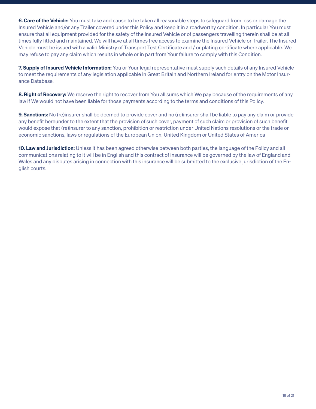6. Care of the Vehicle: You must take and cause to be taken all reasonable steps to safeguard from loss or damage the Insured Vehicle and/or any Trailer covered under this Policy and keep it in a roadworthy condition. In particular You must ensure that all equipment provided for the safety of the Insured Vehicle or of passengers travelling therein shall be at all times fully fitted and maintained. We will have at all times free access to examine the Insured Vehicle or Trailer. The Insured Vehicle must be issued with a valid Ministry of Transport Test Certificate and / or plating certificate where applicable. We may refuse to pay any claim which results in whole or in part from Your failure to comply with this Condition.

7. Supply of Insured Vehicle Information: You or Your legal representative must supply such details of any Insured Vehicle to meet the requirements of any legislation applicable in Great Britain and Northern Ireland for entry on the Motor Insurance Database.

8. Right of Recovery: We reserve the right to recover from You all sums which We pay because of the requirements of any law if We would not have been liable for those payments according to the terms and conditions of this Policy.

**9. Sanctions:** No (re)insurer shall be deemed to provide cover and no (re)insurer shall be liable to pay any claim or provide any benefit hereunder to the extent that the provision of such cover, payment of such claim or provision of such benefit would expose that (re)insurer to any sanction, prohibition or restriction under United Nations resolutions or the trade or economic sanctions, laws or regulations of the European Union, United Kingdom or United States of America

**10. Law and Jurisdiction:** Unless it has been agreed otherwise between both parties, the language of the Policy and all communications relating to it will be in English and this contract of insurance will be governed by the law of England and Wales and any disputes arising in connection with this insurance will be submitted to the exclusive jurisdiction of the English courts.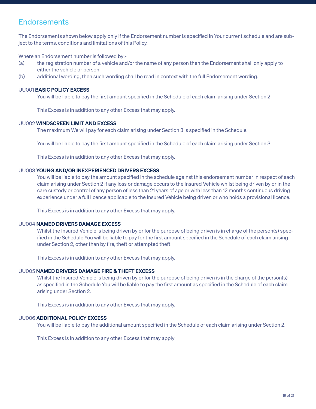### **Endorsements**

The Endorsements shown below apply only if the Endorsement number is specified in Your current schedule and are subject to the terms, conditions and limitations of this Policy.

Where an Endorsement number is followed by:-

- (a) the registration number of a vehicle and/or the name of any person then the Endorsement shall only apply to either the vehicle or person
- (b) additional wording, then such wording shall be read in context with the full Endorsement wording.

#### UU001 BASIC POLICY EXCESS

You will be liable to pay the first amount specified in the Schedule of each claim arising under Section 2.

This Excess is in addition to any other Excess that may apply.

### UU002 WINDSCREEN LIMIT AND EXCESS

The maximum We will pay for each claim arising under Section 3 is specified in the Schedule.

You will be liable to pay the first amount specified in the Schedule of each claim arising under Section 3.

This Excess is in addition to any other Excess that may apply.

#### UU003 YOUNG AND/OR INEXPERIENCED DRIVERS EXCESS

 You will be liable to pay the amount specified in the schedule against this endorsement number in respect of each claim arising under Section 2 if any loss or damage occurs to the Insured Vehicle whilst being driven by or in the care custody or control of any person of less than 21 years of age or with less than 12 months continuous driving experience under a full licence applicable to the Insured Vehicle being driven or who holds a provisional licence.

This Excess is in addition to any other Excess that may apply.

### UU004 NAMED DRIVERS DAMAGE EXCESS

Whilst the Insured Vehicle is being driven by or for the purpose of being driven is in charge of the person(s) specified in the Schedule You will be liable to pay for the first amount specified in the Schedule of each claim arising under Section 2, other than by fire, theft or attempted theft.

This Excess is in addition to any other Excess that may apply.

#### UU005 NAMED DRIVERS DAMAGE FIRE & THEFT EXCESS

Whilst the Insured Vehicle is being driven by or for the purpose of being driven is in the charge of the person(s) as specified in the Schedule You will be liable to pay the first amount as specified in the Schedule of each claim arising under Section 2.

This Excess is in addition to any other Excess that may apply.

### UU006 ADDITIONAL POLICY EXCESS

You will be liable to pay the additional amount specified in the Schedule of each claim arising under Section 2.

This Excess is in addition to any other Excess that may apply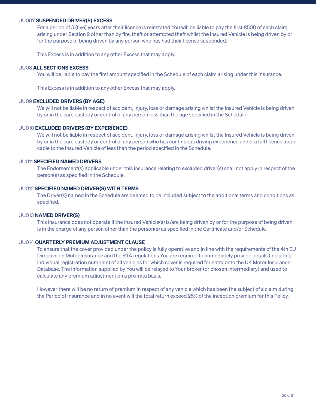#### UU007 SUSPENDED DRIVER(S) EXCESS

 For a period of 5 (five) years after their licence is reinstated You will be liable to pay the first £500 of each claim arising under Section 2 other than by fire, theft or attempted theft whilst the Insured Vehicle is being driven by or for the purpose of being driven by any person who has had their license suspended.

This Excess is in addition to any other Excess that may apply.

#### UU08 ALL SECTIONS EXCESS

You will be liable to pay the first amount specified in the Schedule of each claim arising under this insurance.

This Excess is in addition to any other Excess that may apply.

#### UU09 EXCLUDED DRIVERS (BY AGE)

 We will not be liable in respect of accident, injury, loss or damage arising whilst the Insured Vehicle is being driven by or in the care custody or control of any person less than the age specified in the Schedule

#### UU010 EXCLUDED DRIVERS (BY EXPERIENCE)

We will not be liable in respect of accident, injury, loss or damage arising whilst the Insured Vehicle is being driven by or in the care custody or control of any person who has continuous driving experience under a full licence applicable to the Insured Vehicle of less than the period specified in the Schedule.

### UU011 SPECIFIED NAMED DRIVERS

 The Endorsement(s) applicable under this insurance relating to excluded driver(s) shall not apply in respect of the person(s) as specified in the Schedule.

### UU012 SPECIFIED NAMED DRIVER(S) WITH TERMS

 The Driver(s) named in the Schedule are deemed to be included subject to the additional terms and conditions as specified.

#### UU013 NAMED DRIVER(S)

 This insurance does not operate if the Insured Vehicle(s) is/are being driven by or for the purpose of being driven is in the charge of any person other than the person(s) as specified in the Certificate and/or Schedule.

#### UU014 QUARTERLY PREMIUM ADJUSTMENT CLAUSE

 To ensure that the cover provided under the policy is fully operative and in line with the requirements of the 4th EU Directive on Motor Insurance and the RTA regulations You are required to immediately provide details (including individual registration numbers) of all vehicles for which cover is required for entry onto the UK Motor Insurance Database. The information supplied by You will be relayed to Your broker (or chosen intermediary) and used to calculate any premium adjustment on a pro-rata basis.

 However there will be no return of premium in respect of any vehicle which has been the subject of a claim during the Period of Insurance and in no event will the total return exceed 25% of the inception premium for this Policy.